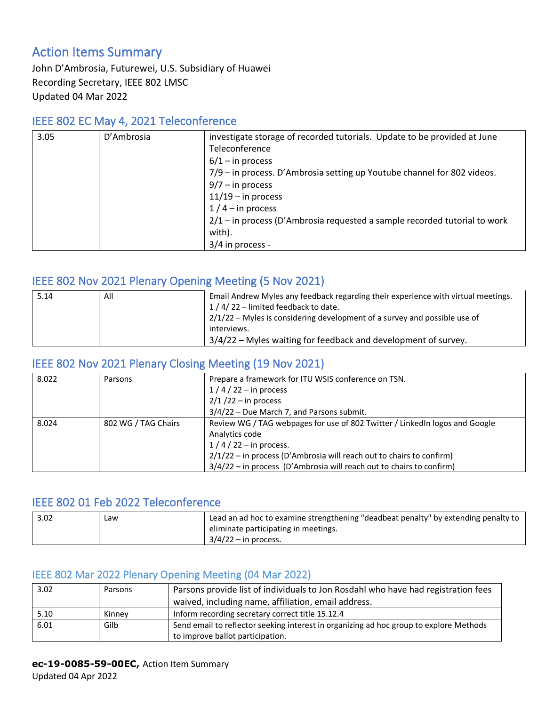# Action Items Summary

John D'Ambrosia, Futurewei, U.S. Subsidiary of Huawei Recording Secretary, IEEE 802 LMSC Updated 04 Mar 2022

#### IEEE 802 EC May 4, 2021 Teleconference

| 3.05 | D'Ambrosia | investigate storage of recorded tutorials. Update to be provided at June    |
|------|------------|-----------------------------------------------------------------------------|
|      |            | Teleconference                                                              |
|      |            | $6/1 -$ in process                                                          |
|      |            | 7/9 – in process. D'Ambrosia setting up Youtube channel for 802 videos.     |
|      |            | $9/7 - in process$                                                          |
|      |            | $11/19$ – in process                                                        |
|      |            | $1/4$ – in process                                                          |
|      |            | $2/1$ – in process (D'Ambrosia requested a sample recorded tutorial to work |
|      |            | with).                                                                      |
|      |            | 3/4 in process -                                                            |

# IEEE 802 Nov 2021 Plenary Opening Meeting (5 Nov 2021)

| 5.14 | All | Email Andrew Myles any feedback regarding their experience with virtual meetings. |
|------|-----|-----------------------------------------------------------------------------------|
|      |     | 1/4/22 - limited feedback to date.                                                |
|      |     | $2/1/22$ – Myles is considering development of a survey and possible use of       |
|      |     | interviews.                                                                       |
|      |     | 3/4/22 – Myles waiting for feedback and development of survey.                    |

## IEEE 802 Nov 2021 Plenary Closing Meeting (19 Nov 2021)

| 8.022 | Parsons             | Prepare a framework for ITU WSIS conference on TSN.                         |
|-------|---------------------|-----------------------------------------------------------------------------|
|       |                     | $1/4/22 - in$ process                                                       |
|       |                     | $2/1/22 -$ in process                                                       |
|       |                     | $3/4/22$ – Due March 7, and Parsons submit.                                 |
| 8.024 | 802 WG / TAG Chairs | Review WG / TAG webpages for use of 802 Twitter / LinkedIn logos and Google |
|       |                     | Analytics code                                                              |
|       |                     | $1/4/22 - in$ process.                                                      |
|       |                     | $2/1/22$ – in process (D'Ambrosia will reach out to chairs to confirm)      |
|       |                     | 3/4/22 - in process (D'Ambrosia will reach out to chairs to confirm)        |

## IEEE 802 01 Feb 2022 Teleconference

| 3.02 | ∟aw | 'Lead an ad hoc to examine strengthening "deadbeat penalty" by extending penalty to |
|------|-----|-------------------------------------------------------------------------------------|
|      |     | eliminate participating in meetings.                                                |
|      |     | $3/4/22 -$ in process.                                                              |

## IEEE 802 Mar 2022 Plenary Opening Meeting (04 Mar 2022)

| 3.02 | Parsons | Parsons provide list of individuals to Jon Rosdahl who have had registration fees                                          |
|------|---------|----------------------------------------------------------------------------------------------------------------------------|
|      |         | waived, including name, affiliation, email address.                                                                        |
| 5.10 | Kinnev  | Inform recording secretary correct title 15.12.4                                                                           |
| 6.01 | Gilb    | Send email to reflector seeking interest in organizing ad hoc group to explore Methods<br>to improve ballot participation. |